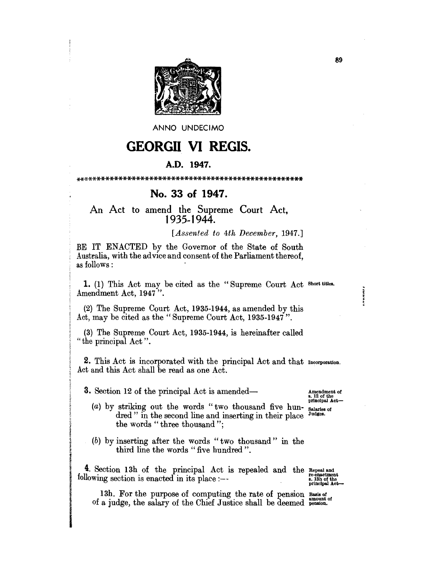

ANNO UNDECIMO

## **GEORGII VI REGIS.**

## A.D. 1947.

## No. 33 of 1947.

An Act to amend the Supreme Court Act, 1935-1944.

## [Assented to 4th December, 1947.]

BE IT ENACTED by the Governor of the State of South Australia, with the advice and consent of the Parliament thereof, as follows:

1. (1) This Act may be cited as the "Supreme Court Act Short titles. Amendment Act, 1947".

(2) The Supreme Court Act, 1935-1944, as amended by this Act, may be cited as the "Supreme Court Act, 1935-1947".

(3) The Supreme Court Act, 1935-1944, is hereinafter called "the principal Act".

2. This Act is incorporated with the principal Act and that Incorporation. Act and this Act shall be read as one Act.

**3.** Section 12 of the principal Act is amended—

Amendment of<br>8. 12 of the<br>principal Act-

**INNUS** 

- (a) by striking out the words "two thousand five hun-Salaries of<br>Judges. dred" in the second line and inserting in their place the words "three thousand";
- (b) by inserting after the words "two thousand" in the third line the words "five hundred".

4. Section 13h of the principal Act is repealed and the Repealand following section is enacted in its place :---

re-enactment<br>s. 13h of the<br>principal Act

13h. For the purpose of computing the rate of pension Basis of of a judge, the salary of the Chief Justice shall be deemed pension.